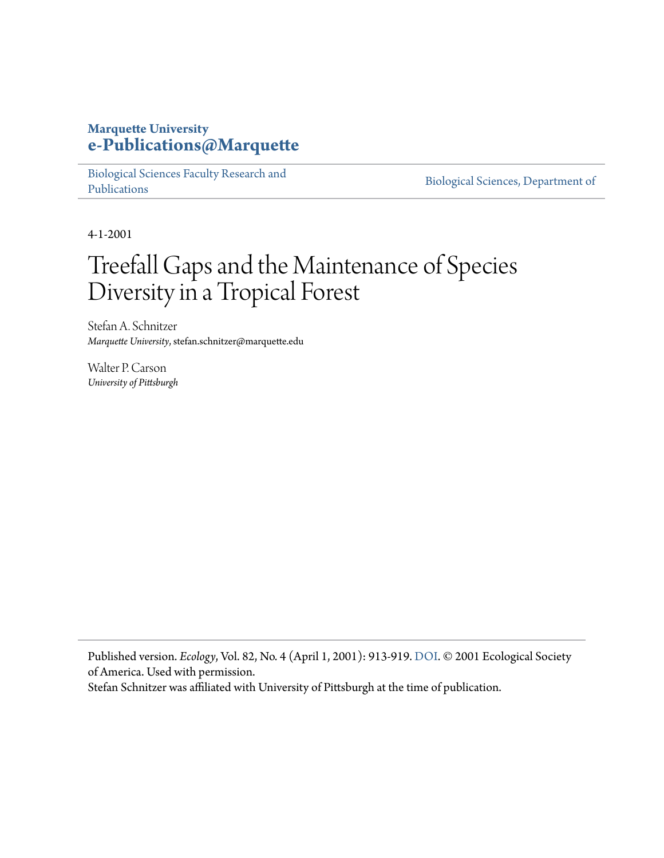## **Marquette University [e-Publications@Marquette](https://epublications.marquette.edu/)**

[Biological Sciences Faculty Research and](https://epublications.marquette.edu/bio_fac) [Publications](https://epublications.marquette.edu/bio_fac)

[Biological Sciences, Department of](https://epublications.marquette.edu/biology)

4-1-2001

# Treefall Gaps and the Maintenance of Species Diversity in a Tropical Forest

Stefan A. Schnitzer *Marquette University*, stefan.schnitzer@marquette.edu

Walter P. Carson *University of Pittsburgh*

Published version. *Ecology*, Vol. 82, No. 4 (April 1, 2001): 913-919. DOI. © 2001 Ecological Society of America. Used with permission.

Stefan Schnitzer was affiliated with University of Pittsburgh at the time of publication.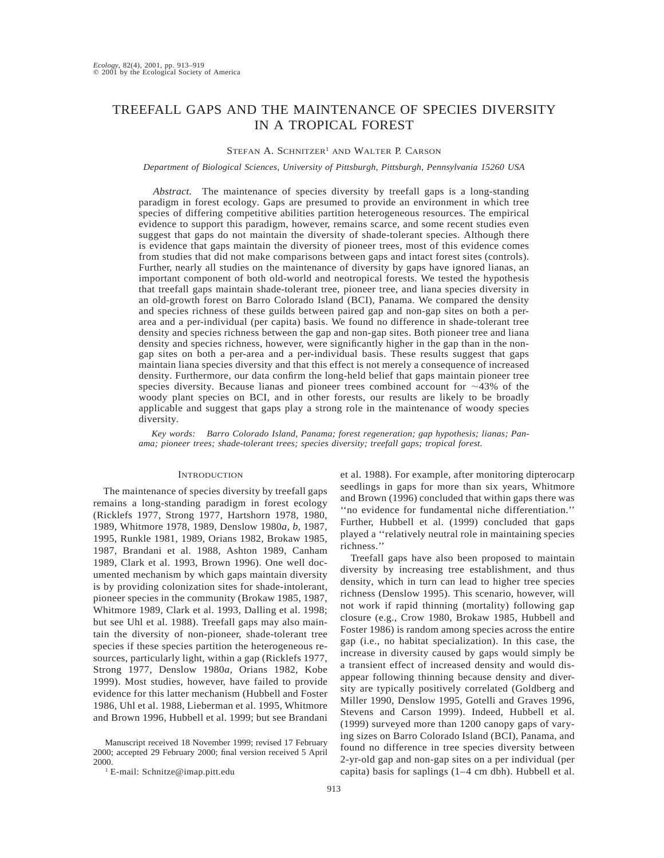### TREEFALL GAPS AND THE MAINTENANCE OF SPECIES DIVERSITY IN A TROPICAL FOREST

#### STEFAN A. SCHNITZER<sup>1</sup> AND WALTER P. CARSON

*Department of Biological Sciences, University of Pittsburgh, Pittsburgh, Pennsylvania 15260 USA*

*Abstract.* The maintenance of species diversity by treefall gaps is a long-standing paradigm in forest ecology. Gaps are presumed to provide an environment in which tree species of differing competitive abilities partition heterogeneous resources. The empirical evidence to support this paradigm, however, remains scarce, and some recent studies even suggest that gaps do not maintain the diversity of shade-tolerant species. Although there is evidence that gaps maintain the diversity of pioneer trees, most of this evidence comes from studies that did not make comparisons between gaps and intact forest sites (controls). Further, nearly all studies on the maintenance of diversity by gaps have ignored lianas, an important component of both old-world and neotropical forests. We tested the hypothesis that treefall gaps maintain shade-tolerant tree, pioneer tree, and liana species diversity in an old-growth forest on Barro Colorado Island (BCI), Panama. We compared the density and species richness of these guilds between paired gap and non-gap sites on both a perarea and a per-individual (per capita) basis. We found no difference in shade-tolerant tree density and species richness between the gap and non-gap sites. Both pioneer tree and liana density and species richness, however, were significantly higher in the gap than in the nongap sites on both a per-area and a per-individual basis. These results suggest that gaps maintain liana species diversity and that this effect is not merely a consequence of increased density. Furthermore, our data confirm the long-held belief that gaps maintain pioneer tree species diversity. Because lianas and pioneer trees combined account for  $\sim$ 43% of the woody plant species on BCI, and in other forests, our results are likely to be broadly applicable and suggest that gaps play a strong role in the maintenance of woody species diversity.

*Key words: Barro Colorado Island, Panama; forest regeneration; gap hypothesis; lianas; Panama; pioneer trees; shade-tolerant trees; species diversity; treefall gaps; tropical forest.*

#### **INTRODUCTION**

The maintenance of species diversity by treefall gaps remains a long-standing paradigm in forest ecology (Ricklefs 1977, Strong 1977, Hartshorn 1978, 1980, 1989, Whitmore 1978, 1989, Denslow 1980*a, b,* 1987, 1995, Runkle 1981, 1989, Orians 1982, Brokaw 1985, 1987, Brandani et al. 1988, Ashton 1989, Canham 1989, Clark et al. 1993, Brown 1996). One well documented mechanism by which gaps maintain diversity is by providing colonization sites for shade-intolerant, pioneer species in the community (Brokaw 1985, 1987, Whitmore 1989, Clark et al. 1993, Dalling et al. 1998; but see Uhl et al. 1988). Treefall gaps may also maintain the diversity of non-pioneer, shade-tolerant tree species if these species partition the heterogeneous resources, particularly light, within a gap (Ricklefs 1977, Strong 1977, Denslow 1980*a,* Orians 1982, Kobe 1999). Most studies, however, have failed to provide evidence for this latter mechanism (Hubbell and Foster 1986, Uhl et al. 1988, Lieberman et al. 1995, Whitmore and Brown 1996, Hubbell et al. 1999; but see Brandani

Manuscript received 18 November 1999; revised 17 February 2000; accepted 29 February 2000; final version received 5 April 2000.

<sup>1</sup> E-mail: Schnitze@imap.pitt.edu

et al. 1988). For example, after monitoring dipterocarp seedlings in gaps for more than six years, Whitmore and Brown (1996) concluded that within gaps there was ''no evidence for fundamental niche differentiation.'' Further, Hubbell et al. (1999) concluded that gaps played a ''relatively neutral role in maintaining species richness.''

Treefall gaps have also been proposed to maintain diversity by increasing tree establishment, and thus density, which in turn can lead to higher tree species richness (Denslow 1995). This scenario, however, will not work if rapid thinning (mortality) following gap closure (e.g., Crow 1980, Brokaw 1985, Hubbell and Foster 1986) is random among species across the entire gap (i.e., no habitat specialization). In this case, the increase in diversity caused by gaps would simply be a transient effect of increased density and would disappear following thinning because density and diversity are typically positively correlated (Goldberg and Miller 1990, Denslow 1995, Gotelli and Graves 1996, Stevens and Carson 1999). Indeed, Hubbell et al. (1999) surveyed more than 1200 canopy gaps of varying sizes on Barro Colorado Island (BCI), Panama, and found no difference in tree species diversity between 2-yr-old gap and non-gap sites on a per individual (per capita) basis for saplings (1–4 cm dbh). Hubbell et al.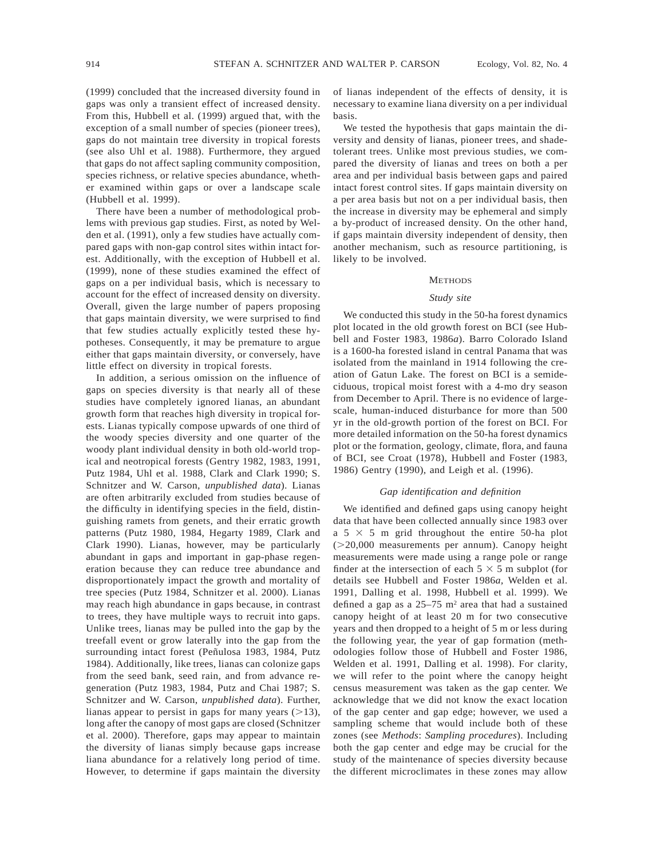(1999) concluded that the increased diversity found in gaps was only a transient effect of increased density. From this, Hubbell et al. (1999) argued that, with the exception of a small number of species (pioneer trees), gaps do not maintain tree diversity in tropical forests (see also Uhl et al. 1988). Furthermore, they argued that gaps do not affect sapling community composition, species richness, or relative species abundance, whether examined within gaps or over a landscape scale (Hubbell et al. 1999).

There have been a number of methodological problems with previous gap studies. First, as noted by Welden et al. (1991), only a few studies have actually compared gaps with non-gap control sites within intact forest. Additionally, with the exception of Hubbell et al. (1999), none of these studies examined the effect of gaps on a per individual basis, which is necessary to account for the effect of increased density on diversity. Overall, given the large number of papers proposing that gaps maintain diversity, we were surprised to find that few studies actually explicitly tested these hypotheses. Consequently, it may be premature to argue either that gaps maintain diversity, or conversely, have little effect on diversity in tropical forests.

In addition, a serious omission on the influence of gaps on species diversity is that nearly all of these studies have completely ignored lianas, an abundant growth form that reaches high diversity in tropical forests. Lianas typically compose upwards of one third of the woody species diversity and one quarter of the woody plant individual density in both old-world tropical and neotropical forests (Gentry 1982, 1983, 1991, Putz 1984, Uhl et al. 1988, Clark and Clark 1990; S. Schnitzer and W. Carson, *unpublished data*). Lianas are often arbitrarily excluded from studies because of the difficulty in identifying species in the field, distinguishing ramets from genets, and their erratic growth patterns (Putz 1980, 1984, Hegarty 1989, Clark and Clark 1990). Lianas, however, may be particularly abundant in gaps and important in gap-phase regeneration because they can reduce tree abundance and disproportionately impact the growth and mortality of tree species (Putz 1984, Schnitzer et al. 2000). Lianas may reach high abundance in gaps because, in contrast to trees, they have multiple ways to recruit into gaps. Unlike trees, lianas may be pulled into the gap by the treefall event or grow laterally into the gap from the surrounding intact forest (Peñulosa 1983, 1984, Putz 1984). Additionally, like trees, lianas can colonize gaps from the seed bank, seed rain, and from advance regeneration (Putz 1983, 1984, Putz and Chai 1987; S. Schnitzer and W. Carson, *unpublished data*). Further, lianas appear to persist in gaps for many years  $(>13)$ , long after the canopy of most gaps are closed (Schnitzer et al. 2000). Therefore, gaps may appear to maintain the diversity of lianas simply because gaps increase liana abundance for a relatively long period of time. However, to determine if gaps maintain the diversity of lianas independent of the effects of density, it is necessary to examine liana diversity on a per individual basis.

We tested the hypothesis that gaps maintain the diversity and density of lianas, pioneer trees, and shadetolerant trees. Unlike most previous studies, we compared the diversity of lianas and trees on both a per area and per individual basis between gaps and paired intact forest control sites. If gaps maintain diversity on a per area basis but not on a per individual basis, then the increase in diversity may be ephemeral and simply a by-product of increased density. On the other hand, if gaps maintain diversity independent of density, then another mechanism, such as resource partitioning, is likely to be involved.

#### **METHODS**

#### *Study site*

We conducted this study in the 50-ha forest dynamics plot located in the old growth forest on BCI (see Hubbell and Foster 1983, 1986*a*). Barro Colorado Island is a 1600-ha forested island in central Panama that was isolated from the mainland in 1914 following the creation of Gatun Lake. The forest on BCI is a semideciduous, tropical moist forest with a 4-mo dry season from December to April. There is no evidence of largescale, human-induced disturbance for more than 500 yr in the old-growth portion of the forest on BCI. For more detailed information on the 50-ha forest dynamics plot or the formation, geology, climate, flora, and fauna of BCI, see Croat (1978), Hubbell and Foster (1983, 1986) Gentry (1990), and Leigh et al. (1996).

#### *Gap identification and definition*

We identified and defined gaps using canopy height data that have been collected annually since 1983 over a  $5 \times 5$  m grid throughout the entire 50-ha plot  $(>20,000$  measurements per annum). Canopy height measurements were made using a range pole or range finder at the intersection of each  $5 \times 5$  m subplot (for details see Hubbell and Foster 1986*a,* Welden et al. 1991, Dalling et al. 1998, Hubbell et al. 1999). We defined a gap as a 25–75 m2 area that had a sustained canopy height of at least 20 m for two consecutive years and then dropped to a height of 5 m or less during the following year, the year of gap formation (methodologies follow those of Hubbell and Foster 1986, Welden et al. 1991, Dalling et al. 1998). For clarity, we will refer to the point where the canopy height census measurement was taken as the gap center. We acknowledge that we did not know the exact location of the gap center and gap edge; however, we used a sampling scheme that would include both of these zones (see *Methods*: *Sampling procedures*). Including both the gap center and edge may be crucial for the study of the maintenance of species diversity because the different microclimates in these zones may allow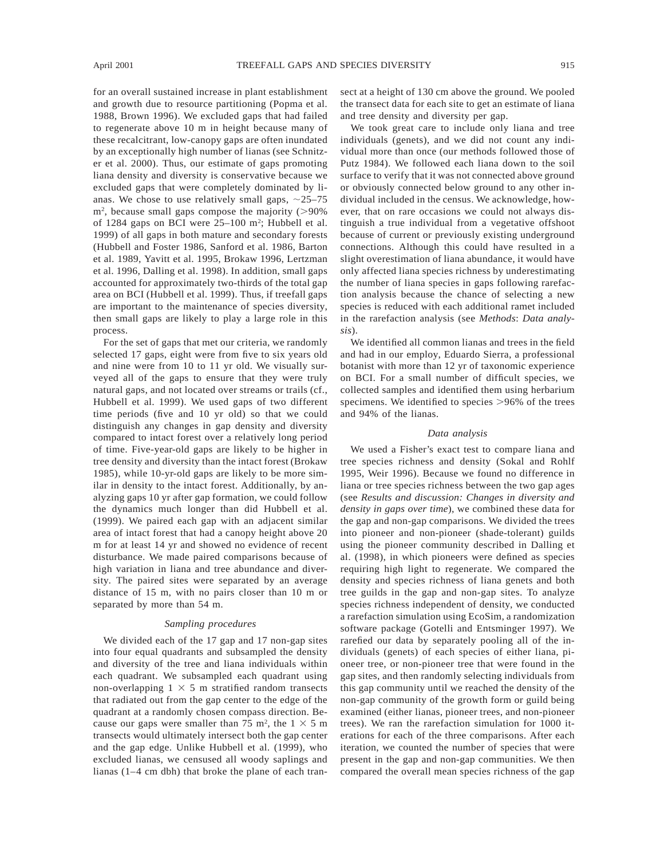for an overall sustained increase in plant establishment and growth due to resource partitioning (Popma et al. 1988, Brown 1996). We excluded gaps that had failed to regenerate above 10 m in height because many of these recalcitrant, low-canopy gaps are often inundated by an exceptionally high number of lianas (see Schnitzer et al. 2000). Thus, our estimate of gaps promoting liana density and diversity is conservative because we excluded gaps that were completely dominated by lianas. We chose to use relatively small gaps,  $\sim$ 25–75  $m^2$ , because small gaps compose the majority ( $>90\%$ ) of 1284 gaps on BCI were 25-100 m<sup>2</sup>; Hubbell et al. 1999) of all gaps in both mature and secondary forests (Hubbell and Foster 1986, Sanford et al. 1986, Barton et al. 1989, Yavitt et al. 1995, Brokaw 1996, Lertzman et al. 1996, Dalling et al. 1998). In addition, small gaps accounted for approximately two-thirds of the total gap area on BCI (Hubbell et al. 1999). Thus, if treefall gaps are important to the maintenance of species diversity, then small gaps are likely to play a large role in this process.

For the set of gaps that met our criteria, we randomly selected 17 gaps, eight were from five to six years old and nine were from 10 to 11 yr old. We visually surveyed all of the gaps to ensure that they were truly natural gaps, and not located over streams or trails (cf., Hubbell et al. 1999). We used gaps of two different time periods (five and 10 yr old) so that we could distinguish any changes in gap density and diversity compared to intact forest over a relatively long period of time. Five-year-old gaps are likely to be higher in tree density and diversity than the intact forest (Brokaw 1985), while 10-yr-old gaps are likely to be more similar in density to the intact forest. Additionally, by analyzing gaps 10 yr after gap formation, we could follow the dynamics much longer than did Hubbell et al. (1999). We paired each gap with an adjacent similar area of intact forest that had a canopy height above 20 m for at least 14 yr and showed no evidence of recent disturbance. We made paired comparisons because of high variation in liana and tree abundance and diversity. The paired sites were separated by an average distance of 15 m, with no pairs closer than 10 m or separated by more than 54 m.

#### *Sampling procedures*

We divided each of the 17 gap and 17 non-gap sites into four equal quadrants and subsampled the density and diversity of the tree and liana individuals within each quadrant. We subsampled each quadrant using non-overlapping  $1 \times 5$  m stratified random transects that radiated out from the gap center to the edge of the quadrant at a randomly chosen compass direction. Because our gaps were smaller than 75 m<sup>2</sup>, the  $1 \times 5$  m transects would ultimately intersect both the gap center and the gap edge. Unlike Hubbell et al. (1999), who excluded lianas, we censused all woody saplings and lianas (1–4 cm dbh) that broke the plane of each transect at a height of 130 cm above the ground. We pooled the transect data for each site to get an estimate of liana and tree density and diversity per gap.

We took great care to include only liana and tree individuals (genets), and we did not count any individual more than once (our methods followed those of Putz 1984). We followed each liana down to the soil surface to verify that it was not connected above ground or obviously connected below ground to any other individual included in the census. We acknowledge, however, that on rare occasions we could not always distinguish a true individual from a vegetative offshoot because of current or previously existing underground connections. Although this could have resulted in a slight overestimation of liana abundance, it would have only affected liana species richness by underestimating the number of liana species in gaps following rarefaction analysis because the chance of selecting a new species is reduced with each additional ramet included in the rarefaction analysis (see *Methods*: *Data analysis*).

We identified all common lianas and trees in the field and had in our employ, Eduardo Sierra, a professional botanist with more than 12 yr of taxonomic experience on BCI. For a small number of difficult species, we collected samples and identified them using herbarium specimens. We identified to species  $>96\%$  of the trees and 94% of the lianas.

#### *Data analysis*

We used a Fisher's exact test to compare liana and tree species richness and density (Sokal and Rohlf 1995, Weir 1996). Because we found no difference in liana or tree species richness between the two gap ages (see *Results and discussion: Changes in diversity and density in gaps over time*), we combined these data for the gap and non-gap comparisons. We divided the trees into pioneer and non-pioneer (shade-tolerant) guilds using the pioneer community described in Dalling et al. (1998), in which pioneers were defined as species requiring high light to regenerate. We compared the density and species richness of liana genets and both tree guilds in the gap and non-gap sites. To analyze species richness independent of density, we conducted a rarefaction simulation using EcoSim, a randomization software package (Gotelli and Entsminger 1997). We rarefied our data by separately pooling all of the individuals (genets) of each species of either liana, pioneer tree, or non-pioneer tree that were found in the gap sites, and then randomly selecting individuals from this gap community until we reached the density of the non-gap community of the growth form or guild being examined (either lianas, pioneer trees, and non-pioneer trees). We ran the rarefaction simulation for 1000 iterations for each of the three comparisons. After each iteration, we counted the number of species that were present in the gap and non-gap communities. We then compared the overall mean species richness of the gap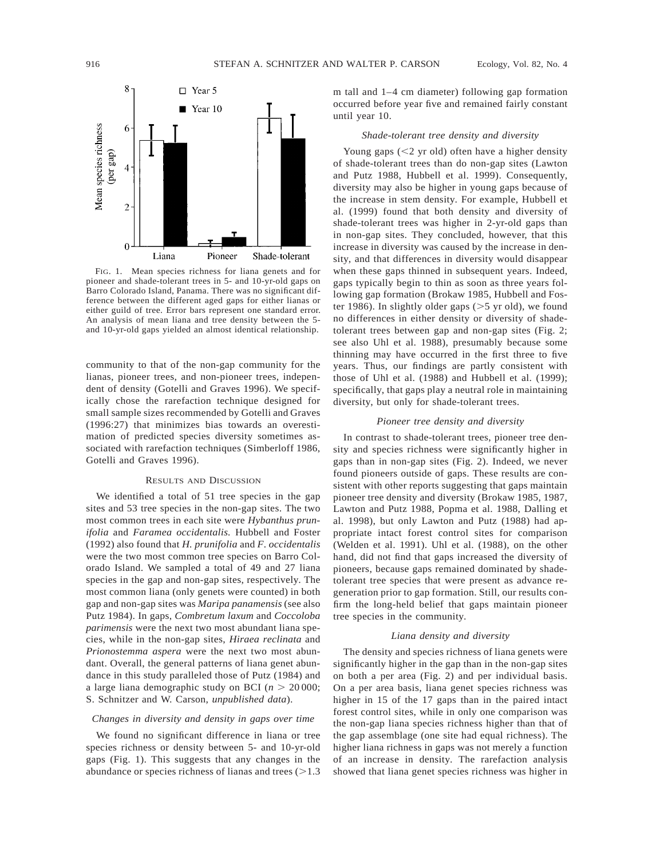

FIG. 1. Mean species richness for liana genets and for pioneer and shade-tolerant trees in 5- and 10-yr-old gaps on Barro Colorado Island, Panama. There was no significant difference between the different aged gaps for either lianas or either guild of tree. Error bars represent one standard error. An analysis of mean liana and tree density between the 5 and 10-yr-old gaps yielded an almost identical relationship.

community to that of the non-gap community for the lianas, pioneer trees, and non-pioneer trees, independent of density (Gotelli and Graves 1996). We specifically chose the rarefaction technique designed for small sample sizes recommended by Gotelli and Graves (1996:27) that minimizes bias towards an overestimation of predicted species diversity sometimes associated with rarefaction techniques (Simberloff 1986, Gotelli and Graves 1996).

#### RESULTS AND DISCUSSION

We identified a total of 51 tree species in the gap sites and 53 tree species in the non-gap sites. The two most common trees in each site were *Hybanthus prunifolia* and *Faramea occidentalis.* Hubbell and Foster (1992) also found that *H. prunifolia* and *F. occidentalis* were the two most common tree species on Barro Colorado Island. We sampled a total of 49 and 27 liana species in the gap and non-gap sites, respectively. The most common liana (only genets were counted) in both gap and non-gap sites was *Maripa panamensis* (see also Putz 1984). In gaps, *Combretum laxum* and *Coccoloba parimensis* were the next two most abundant liana species, while in the non-gap sites, *Hiraea reclinata* and *Prionostemma aspera* were the next two most abundant. Overall, the general patterns of liana genet abundance in this study paralleled those of Putz (1984) and a large liana demographic study on BCI ( $n > 20000$ ; S. Schnitzer and W. Carson, *unpublished data*).

#### *Changes in diversity and density in gaps over time*

We found no significant difference in liana or tree species richness or density between 5- and 10-yr-old gaps (Fig. 1). This suggests that any changes in the abundance or species richness of lianas and trees  $(>1.3)$  m tall and 1–4 cm diameter) following gap formation occurred before year five and remained fairly constant until year 10.

#### *Shade-tolerant tree density and diversity*

Young gaps  $(< 2$  yr old) often have a higher density of shade-tolerant trees than do non-gap sites (Lawton and Putz 1988, Hubbell et al. 1999). Consequently, diversity may also be higher in young gaps because of the increase in stem density. For example, Hubbell et al. (1999) found that both density and diversity of shade-tolerant trees was higher in 2-yr-old gaps than in non-gap sites. They concluded, however, that this increase in diversity was caused by the increase in density, and that differences in diversity would disappear when these gaps thinned in subsequent years. Indeed, gaps typically begin to thin as soon as three years following gap formation (Brokaw 1985, Hubbell and Foster 1986). In slightly older gaps  $(>5 \text{ yr old})$ , we found no differences in either density or diversity of shadetolerant trees between gap and non-gap sites (Fig. 2; see also Uhl et al. 1988), presumably because some thinning may have occurred in the first three to five years. Thus, our findings are partly consistent with those of Uhl et al. (1988) and Hubbell et al. (1999); specifically, that gaps play a neutral role in maintaining diversity, but only for shade-tolerant trees.

#### *Pioneer tree density and diversity*

In contrast to shade-tolerant trees, pioneer tree density and species richness were significantly higher in gaps than in non-gap sites (Fig. 2). Indeed, we never found pioneers outside of gaps. These results are consistent with other reports suggesting that gaps maintain pioneer tree density and diversity (Brokaw 1985, 1987, Lawton and Putz 1988, Popma et al. 1988, Dalling et al. 1998), but only Lawton and Putz (1988) had appropriate intact forest control sites for comparison (Welden et al. 1991). Uhl et al. (1988), on the other hand, did not find that gaps increased the diversity of pioneers, because gaps remained dominated by shadetolerant tree species that were present as advance regeneration prior to gap formation. Still, our results confirm the long-held belief that gaps maintain pioneer tree species in the community.

#### *Liana density and diversity*

The density and species richness of liana genets were significantly higher in the gap than in the non-gap sites on both a per area (Fig. 2) and per individual basis. On a per area basis, liana genet species richness was higher in 15 of the 17 gaps than in the paired intact forest control sites, while in only one comparison was the non-gap liana species richness higher than that of the gap assemblage (one site had equal richness). The higher liana richness in gaps was not merely a function of an increase in density. The rarefaction analysis showed that liana genet species richness was higher in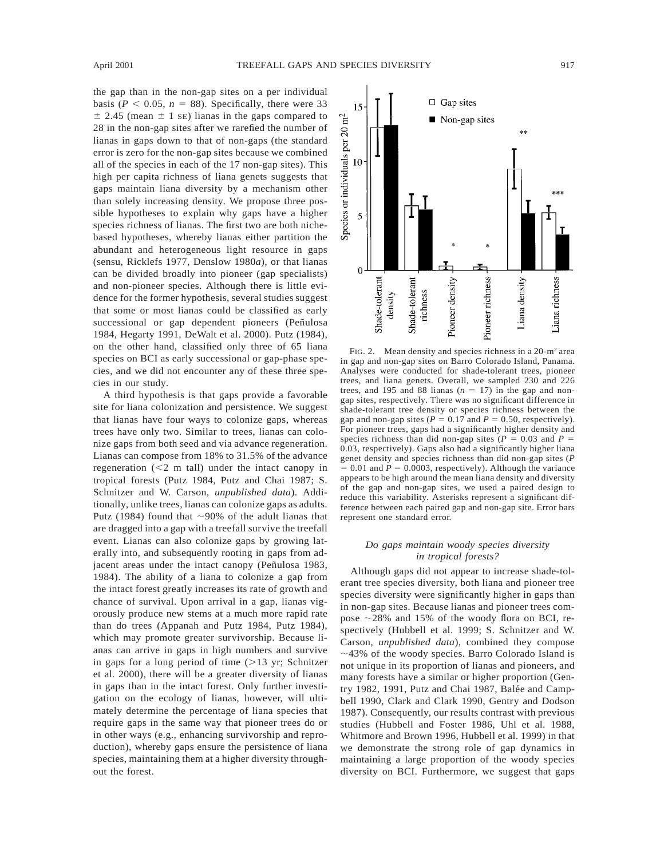the gap than in the non-gap sites on a per individual basis ( $P < 0.05$ ,  $n = 88$ ). Specifically, there were 33  $\pm$  2.45 (mean  $\pm$  1 se) lianas in the gaps compared to 28 in the non-gap sites after we rarefied the number of lianas in gaps down to that of non-gaps (the standard error is zero for the non-gap sites because we combined all of the species in each of the 17 non-gap sites). This high per capita richness of liana genets suggests that gaps maintain liana diversity by a mechanism other than solely increasing density. We propose three possible hypotheses to explain why gaps have a higher species richness of lianas. The first two are both nichebased hypotheses, whereby lianas either partition the abundant and heterogeneous light resource in gaps (sensu, Ricklefs 1977, Denslow 1980*a*), or that lianas can be divided broadly into pioneer (gap specialists) and non-pioneer species. Although there is little evidence for the former hypothesis, several studies suggest that some or most lianas could be classified as early successional or gap dependent pioneers (Peñulosa 1984, Hegarty 1991, DeWalt et al. 2000). Putz (1984), on the other hand, classified only three of 65 liana species on BCI as early successional or gap-phase species, and we did not encounter any of these three species in our study.

A third hypothesis is that gaps provide a favorable site for liana colonization and persistence. We suggest that lianas have four ways to colonize gaps, whereas trees have only two. Similar to trees, lianas can colonize gaps from both seed and via advance regeneration. Lianas can compose from 18% to 31.5% of the advance regeneration  $(< 2$  m tall) under the intact canopy in tropical forests (Putz 1984, Putz and Chai 1987; S. Schnitzer and W. Carson, *unpublished data*). Additionally, unlike trees, lianas can colonize gaps as adults. Putz (1984) found that  $\sim$ 90% of the adult lianas that are dragged into a gap with a treefall survive the treefall event. Lianas can also colonize gaps by growing laterally into, and subsequently rooting in gaps from adjacent areas under the intact canopy (Peñulosa 1983, 1984). The ability of a liana to colonize a gap from the intact forest greatly increases its rate of growth and chance of survival. Upon arrival in a gap, lianas vigorously produce new stems at a much more rapid rate than do trees (Appanah and Putz 1984, Putz 1984), which may promote greater survivorship. Because lianas can arrive in gaps in high numbers and survive in gaps for a long period of time  $(>13 \text{ yr};$  Schnitzer et al. 2000), there will be a greater diversity of lianas in gaps than in the intact forest. Only further investigation on the ecology of lianas, however, will ultimately determine the percentage of liana species that require gaps in the same way that pioneer trees do or in other ways (e.g., enhancing survivorship and reproduction), whereby gaps ensure the persistence of liana species, maintaining them at a higher diversity throughout the forest.



FIG. 2. Mean density and species richness in a 20-m<sup>2</sup> area in gap and non-gap sites on Barro Colorado Island, Panama. Analyses were conducted for shade-tolerant trees, pioneer trees, and liana genets. Overall, we sampled 230 and 226 trees, and 195 and 88 lianas  $(n = 17)$  in the gap and nongap sites, respectively. There was no significant difference in shade-tolerant tree density or species richness between the gap and non-gap sites ( $P = 0.17$  and  $P = 0.50$ , respectively). For pioneer trees, gaps had a significantly higher density and species richness than did non-gap sites ( $P = 0.03$  and  $P =$ 0.03, respectively). Gaps also had a significantly higher liana genet density and species richness than did non-gap sites (*P*  $= 0.01$  and  $P = 0.0003$ , respectively). Although the variance appears to be high around the mean liana density and diversity of the gap and non-gap sites, we used a paired design to reduce this variability. Asterisks represent a significant difference between each paired gap and non-gap site. Error bars represent one standard error.

#### *Do gaps maintain woody species diversity in tropical forests?*

Although gaps did not appear to increase shade-tolerant tree species diversity, both liana and pioneer tree species diversity were significantly higher in gaps than in non-gap sites. Because lianas and pioneer trees compose  $\sim$  28% and 15% of the woody flora on BCI, respectively (Hubbell et al. 1999; S. Schnitzer and W. Carson, *unpublished data*), combined they compose  $\sim$ 43% of the woody species. Barro Colorado Island is not unique in its proportion of lianas and pioneers, and many forests have a similar or higher proportion (Gentry 1982, 1991, Putz and Chai 1987, Balée and Campbell 1990, Clark and Clark 1990, Gentry and Dodson 1987). Consequently, our results contrast with previous studies (Hubbell and Foster 1986, Uhl et al. 1988, Whitmore and Brown 1996, Hubbell et al. 1999) in that we demonstrate the strong role of gap dynamics in maintaining a large proportion of the woody species diversity on BCI. Furthermore, we suggest that gaps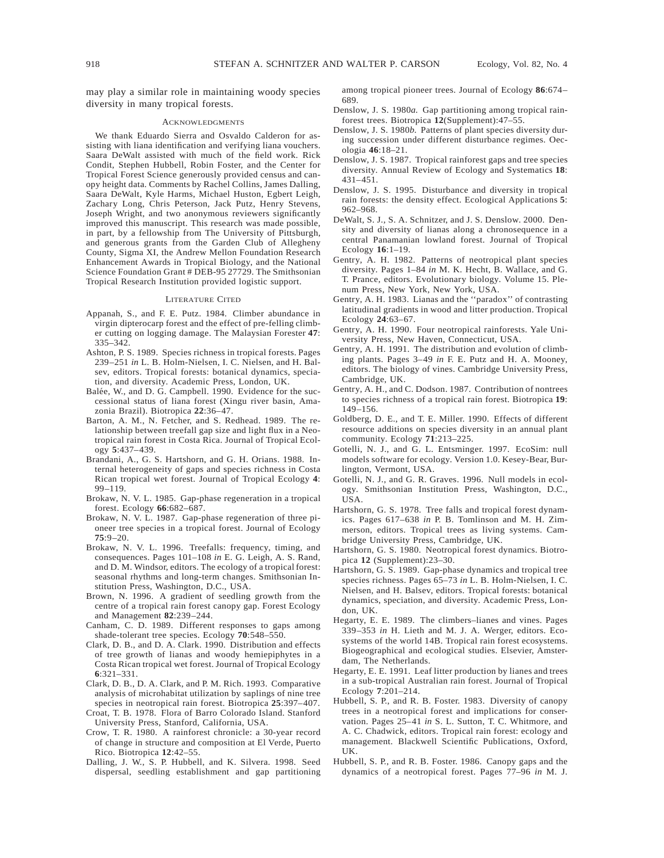may play a similar role in maintaining woody species diversity in many tropical forests.

#### ACKNOWLEDGMENTS

We thank Eduardo Sierra and Osvaldo Calderon for assisting with liana identification and verifying liana vouchers. Saara DeWalt assisted with much of the field work. Rick Condit, Stephen Hubbell, Robin Foster, and the Center for Tropical Forest Science generously provided census and canopy height data. Comments by Rachel Collins, James Dalling, Saara DeWalt, Kyle Harms, Michael Huston, Egbert Leigh, Zachary Long, Chris Peterson, Jack Putz, Henry Stevens, Joseph Wright, and two anonymous reviewers significantly improved this manuscript. This research was made possible, in part, by a fellowship from The University of Pittsburgh, and generous grants from the Garden Club of Allegheny County, Sigma XI, the Andrew Mellon Foundation Research Enhancement Awards in Tropical Biology, and the National Science Foundation Grant # DEB-95 27729. The Smithsonian Tropical Research Institution provided logistic support.

#### LITERATURE CITED

- Appanah, S., and F. E. Putz. 1984. Climber abundance in virgin dipterocarp forest and the effect of pre-felling climber cutting on logging damage. The Malaysian Forester **47**: 335–342.
- Ashton, P. S. 1989. Species richness in tropical forests. Pages 239–251 *in* L. B. Holm-Nielsen, I. C. Nielsen, and H. Balsev, editors. Tropical forests: botanical dynamics, speciation, and diversity. Academic Press, London, UK.
- Balée, W., and D. G. Campbell. 1990. Evidence for the successional status of liana forest (Xingu river basin, Amazonia Brazil). Biotropica **22**:36–47.
- Barton, A. M., N. Fetcher, and S. Redhead. 1989. The relationship between treefall gap size and light flux in a Neotropical rain forest in Costa Rica. Journal of Tropical Ecology **5**:437–439.
- Brandani, A., G. S. Hartshorn, and G. H. Orians. 1988. Internal heterogeneity of gaps and species richness in Costa Rican tropical wet forest. Journal of Tropical Ecology **4**: 99–119.
- Brokaw, N. V. L. 1985. Gap-phase regeneration in a tropical forest. Ecology **66**:682–687.
- Brokaw, N. V. L. 1987. Gap-phase regeneration of three pioneer tree species in a tropical forest. Journal of Ecology **75**:9–20.
- Brokaw, N. V. L. 1996. Treefalls: frequency, timing, and consequences. Pages 101–108 *in* E. G. Leigh, A. S. Rand, and D. M. Windsor, editors. The ecology of a tropical forest: seasonal rhythms and long-term changes. Smithsonian Institution Press, Washington, D.C., USA.
- Brown, N. 1996. A gradient of seedling growth from the centre of a tropical rain forest canopy gap. Forest Ecology and Management **82**:239–244.
- Canham, C. D. 1989. Different responses to gaps among shade-tolerant tree species. Ecology **70**:548–550.
- Clark, D. B., and D. A. Clark. 1990. Distribution and effects of tree growth of lianas and woody hemiepiphytes in a Costa Rican tropical wet forest. Journal of Tropical Ecology **6**:321–331.
- Clark, D. B., D. A. Clark, and P. M. Rich. 1993. Comparative analysis of microhabitat utilization by saplings of nine tree species in neotropical rain forest. Biotropica **25**:397–407.
- Croat, T. B. 1978. Flora of Barro Colorado Island. Stanford University Press, Stanford, California, USA.
- Crow, T. R. 1980. A rainforest chronicle: a 30-year record of change in structure and composition at El Verde, Puerto Rico. Biotropica **12**:42–55.
- Dalling, J. W., S. P. Hubbell, and K. Silvera. 1998. Seed dispersal, seedling establishment and gap partitioning

among tropical pioneer trees. Journal of Ecology **86**:674– 689.

- Denslow, J. S. 1980*a.* Gap partitioning among tropical rainforest trees. Biotropica **12**(Supplement):47–55.
- Denslow, J. S. 1980*b.* Patterns of plant species diversity during succession under different disturbance regimes. Oecologia **46**:18–21.
- Denslow, J. S. 1987. Tropical rainforest gaps and tree species diversity. Annual Review of Ecology and Systematics **18**: 431–451.
- Denslow, J. S. 1995. Disturbance and diversity in tropical rain forests: the density effect. Ecological Applications **5**: 962–968.
- DeWalt, S. J., S. A. Schnitzer, and J. S. Denslow. 2000. Density and diversity of lianas along a chronosequence in a central Panamanian lowland forest. Journal of Tropical Ecology **16**:1–19.
- Gentry, A. H. 1982. Patterns of neotropical plant species diversity. Pages 1–84 *in* M. K. Hecht, B. Wallace, and G. T. Prance, editors. Evolutionary biology. Volume 15. Plenum Press, New York, New York, USA.
- Gentry, A. H. 1983. Lianas and the ''paradox'' of contrasting latitudinal gradients in wood and litter production. Tropical Ecology **24**:63–67.
- Gentry, A. H. 1990. Four neotropical rainforests. Yale University Press, New Haven, Connecticut, USA.
- Gentry, A. H. 1991. The distribution and evolution of climbing plants. Pages 3–49 *in* F. E. Putz and H. A. Mooney, editors. The biology of vines. Cambridge University Press, Cambridge, UK.
- Gentry, A. H., and C. Dodson. 1987. Contribution of nontrees to species richness of a tropical rain forest. Biotropica **19**: 149–156.
- Goldberg, D. E., and T. E. Miller. 1990. Effects of different resource additions on species diversity in an annual plant community. Ecology **71**:213–225.
- Gotelli, N. J., and G. L. Entsminger. 1997. EcoSim: null models software for ecology. Version 1.0. Kesey-Bear, Burlington, Vermont, USA.
- Gotelli, N. J., and G. R. Graves. 1996. Null models in ecology. Smithsonian Institution Press, Washington, D.C., USA.
- Hartshorn, G. S. 1978. Tree falls and tropical forest dynamics. Pages 617–638 *in* P. B. Tomlinson and M. H. Zimmerson, editors. Tropical trees as living systems. Cambridge University Press, Cambridge, UK.
- Hartshorn, G. S. 1980. Neotropical forest dynamics. Biotropica **12** (Supplement):23–30.
- Hartshorn, G. S. 1989. Gap-phase dynamics and tropical tree species richness. Pages 65–73 *in* L. B. Holm-Nielsen, I. C. Nielsen, and H. Balsev, editors. Tropical forests: botanical dynamics, speciation, and diversity. Academic Press, London, UK.
- Hegarty, E. E. 1989. The climbers–lianes and vines. Pages 339–353 *in* H. Lieth and M. J. A. Werger, editors. Ecosystems of the world 14B. Tropical rain forest ecosystems. Biogeographical and ecological studies. Elsevier, Amsterdam, The Netherlands.
- Hegarty, E. E. 1991. Leaf litter production by lianes and trees in a sub-tropical Australian rain forest. Journal of Tropical Ecology **7**:201–214.
- Hubbell, S. P., and R. B. Foster. 1983. Diversity of canopy trees in a neotropical forest and implications for conservation. Pages 25–41 *in* S. L. Sutton, T. C. Whitmore, and A. C. Chadwick, editors. Tropical rain forest: ecology and management. Blackwell Scientific Publications, Oxford, UK.
- Hubbell, S. P., and R. B. Foster. 1986. Canopy gaps and the dynamics of a neotropical forest. Pages 77–96 *in* M. J.